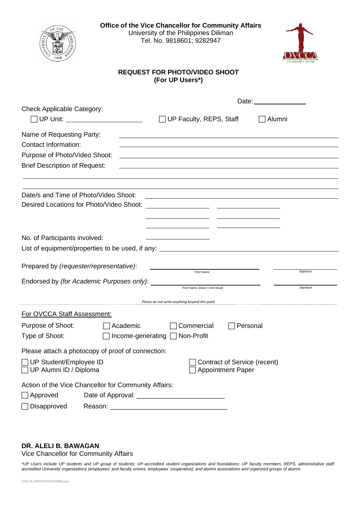

**Office of the Vice Chancellor for Community Affairs** University of the Philippines Diliman Tel. No. 9818601; 9282947



## **REQUEST FOR PHOTO/VIDEO SHOOT (For UP Users\*)**

| <b>Check Applicable Category:</b>                    |                                                                                                                  |           |  |
|------------------------------------------------------|------------------------------------------------------------------------------------------------------------------|-----------|--|
| UP Unit: ________________________                    | UP Faculty, REPS, Staff<br>Alumni                                                                                |           |  |
| Name of Requesting Party:                            |                                                                                                                  |           |  |
| <b>Contact Information:</b>                          | and the control of the control of the control of the control of the control of the control of the control of the |           |  |
| Purpose of Photo/Video Shoot:                        |                                                                                                                  |           |  |
| <b>Brief Description of Request:</b>                 | and the control of the control of the control of the control of the control of the control of the control of the |           |  |
|                                                      |                                                                                                                  |           |  |
| Date/s and Time of Photo/Video Shoot:                | and the control of the control of the control of the control of the control of the control of the control of the |           |  |
| Desired Locations for Photo/Video Shoot:             | <u> 1980 - Johann John Stein, fransk politik (d. 1980)</u>                                                       |           |  |
|                                                      |                                                                                                                  |           |  |
|                                                      |                                                                                                                  |           |  |
| No. of Participants involved:                        |                                                                                                                  |           |  |
|                                                      | List of equipment/properties to be used, if any: ________________________________                                |           |  |
|                                                      |                                                                                                                  |           |  |
| Prepared by (requester/representative):              | <b>Print Name</b>                                                                                                | Signature |  |
| Endorsed by (for Academic Purposes only):            | Print Name (Dean / Unit Head)                                                                                    | Signature |  |
|                                                      |                                                                                                                  |           |  |
|                                                      | Please do not write anything beyond this point                                                                   |           |  |
| <b>For OVCCA Staff Assessment:</b>                   |                                                                                                                  |           |  |
| Purpose of Shoot:<br>Academic                        | Commercial<br>Personal                                                                                           |           |  |
| Type of Shoot:                                       | Income-generating □ Non-Profit                                                                                   |           |  |
| Please attach a photocopy of proof of connection:    |                                                                                                                  |           |  |
| $\Box$ UP Student/Employee ID                        | Contract of Service (recent)                                                                                     |           |  |
| □ UP Alumni ID / Diploma                             | Appointment Paper                                                                                                |           |  |
| Action of the Vice Chancellor for Community Affairs: |                                                                                                                  |           |  |
| $\Box$ Approved                                      |                                                                                                                  |           |  |
| Disapproved                                          |                                                                                                                  |           |  |
|                                                      |                                                                                                                  |           |  |

## **DR. ALELI B. BAWAGAN**

Vice Chancellor for Community Affairs

*\*UP Users include UP students and UP group of students; UP-accredited student organizations and foundations; UP faculty members, REPS, administrative staff; accredited University organizations (employees' and faculty unions, employees' cooperative); and alumni associations and organized groups of alumni.*